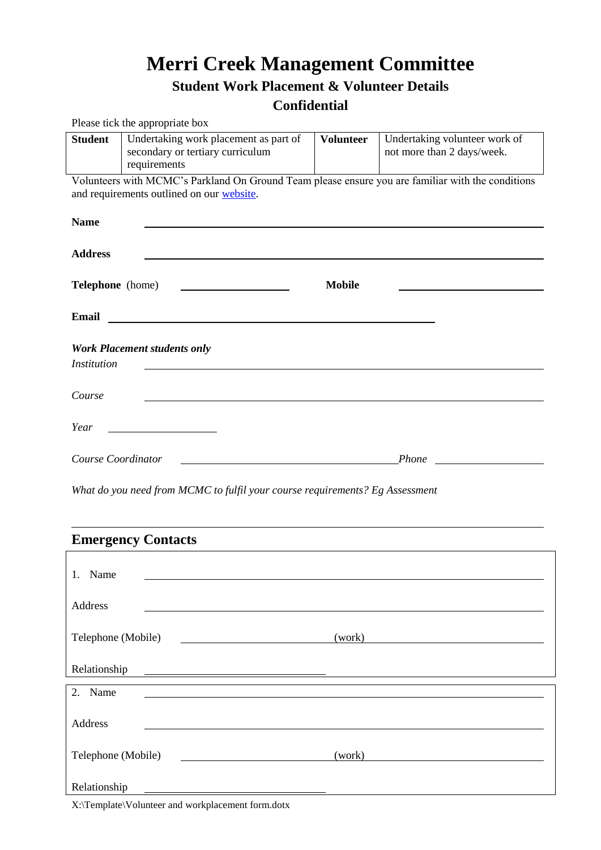# **Merri Creek Management Committee**

## **Student Work Placement & Volunteer Details**

### **Confidential**

|                         | Please tick the appropriate box                                                                                                                                                                                                      |                  |                                                             |
|-------------------------|--------------------------------------------------------------------------------------------------------------------------------------------------------------------------------------------------------------------------------------|------------------|-------------------------------------------------------------|
| <b>Student</b>          | Undertaking work placement as part of<br>secondary or tertiary curriculum<br>requirements                                                                                                                                            | <b>Volunteer</b> | Undertaking volunteer work of<br>not more than 2 days/week. |
|                         | Volunteers with MCMC's Parkland On Ground Team please ensure you are familiar with the conditions<br>and requirements outlined on our website.                                                                                       |                  |                                                             |
| <b>Name</b>             |                                                                                                                                                                                                                                      |                  |                                                             |
| <b>Address</b>          |                                                                                                                                                                                                                                      |                  |                                                             |
| <b>Telephone</b> (home) | <u> 1980 - Andrea State Barbara, amerikan per</u>                                                                                                                                                                                    | <b>Mobile</b>    |                                                             |
|                         | Email <u>and the community of the community of the community of the community of the community of the community of the community of the community of the community of the community of the community of the community of the com</u> |                  |                                                             |
| <i>Institution</i>      | <b>Work Placement students only</b>                                                                                                                                                                                                  |                  |                                                             |
| Course                  |                                                                                                                                                                                                                                      |                  |                                                             |
| Year                    | <u> 1989 - Johann Barbara, martin a</u>                                                                                                                                                                                              |                  |                                                             |
| Course Coordinator      | <u> 1989 - Johann Barbara, martxa alemaniar a</u>                                                                                                                                                                                    |                  |                                                             |
|                         | What do you need from MCMC to fulfil your course requirements? Eg Assessment                                                                                                                                                         |                  |                                                             |
|                         | <b>Emergency Contacts</b>                                                                                                                                                                                                            |                  |                                                             |
|                         |                                                                                                                                                                                                                                      |                  |                                                             |
| 1. Name                 |                                                                                                                                                                                                                                      |                  |                                                             |
| Address                 |                                                                                                                                                                                                                                      |                  |                                                             |
| Telephone (Mobile)      | <u> 1980 - John Stone, mars and de la partie de la partie de la partie de la partie de la partie de la partie de l</u>                                                                                                               | (work)           |                                                             |
| Relationship            |                                                                                                                                                                                                                                      |                  |                                                             |
| 2. Name                 |                                                                                                                                                                                                                                      |                  |                                                             |
| Address                 |                                                                                                                                                                                                                                      |                  |                                                             |

Relationship

Telephone (Mobile) (work)

X:\Template\Volunteer and workplacement form.dotx